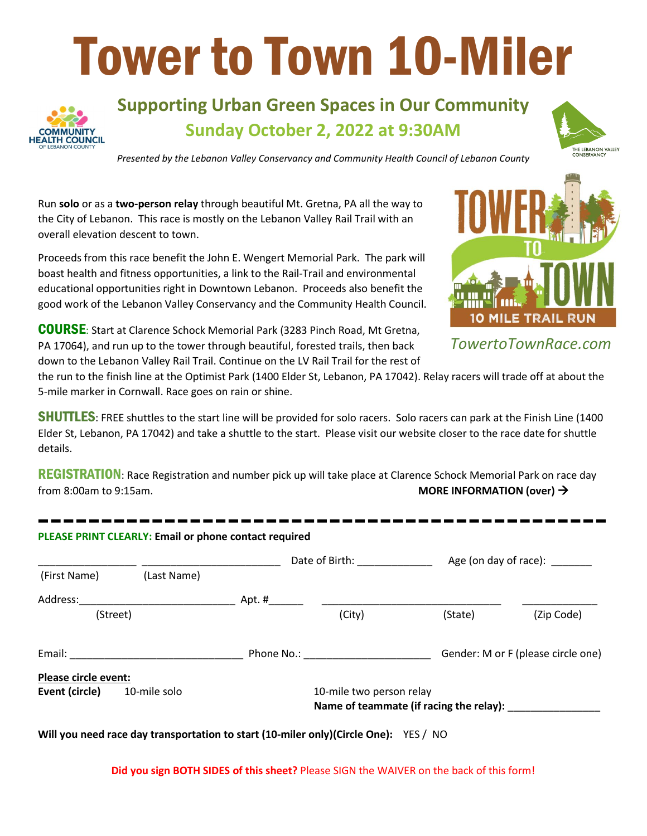# Tower to Town 10-Miler



## **Supporting Urban Green Spaces in Our Community Sunday October 2, 2022 at 9:30AM**



*Presented by the Lebanon Valley Conservancy and Community Health Council of Lebanon County*

Run **solo** or as a **two-person relay** through beautiful Mt. Gretna, PA all the way to the City of Lebanon. This race is mostly on the Lebanon Valley Rail Trail with an overall elevation descent to town.

Proceeds from this race benefit the John E. Wengert Memorial Park. The park will boast health and fitness opportunities, a link to the Rail-Trail and environmental educational opportunities right in Downtown Lebanon. Proceeds also benefit the good work of the Lebanon Valley Conservancy and the Community Health Council.

COURSE: Start at Clarence Schock Memorial Park (3283 Pinch Road, Mt Gretna, PA 17064), and run up to the tower through beautiful, forested trails, then back down to the Lebanon Valley Rail Trail. Continue on the LV Rail Trail for the rest of



*TowertoTownRace.com*

the run to the finish line at the Optimist Park (1400 Elder St, Lebanon, PA 17042). Relay racers will trade off at about the 5-mile marker in Cornwall. Race goes on rain or shine.

**SHUTTLES:** FREE shuttles to the start line will be provided for solo racers. Solo racers can park at the Finish Line (1400) Elder St, Lebanon, PA 17042) and take a shuttle to the start. Please visit our website closer to the race date for shuttle details.

REGISTRATION: Race Registration and number pick up will take place at Clarence Schock Memorial Park on race day from 8:00am to 9:15am. **MORE INFORMATION (over)**  $\rightarrow$ 

|                      |              | Date of Birth: ______________                                       |        |         | Age (on day of race):              |  |
|----------------------|--------------|---------------------------------------------------------------------|--------|---------|------------------------------------|--|
| (First Name)         | (Last Name)  |                                                                     |        |         |                                    |  |
|                      |              |                                                                     |        |         |                                    |  |
| (Street)             |              |                                                                     | (City) | (State) | (Zip Code)                         |  |
|                      |              |                                                                     |        |         | Gender: M or F (please circle one) |  |
| Please circle event: |              |                                                                     |        |         |                                    |  |
| Event (circle)       | 10-mile solo | 10-mile two person relay<br>Name of teammate (if racing the relay): |        |         |                                    |  |

**Will you need race day transportation to start (10-miler only)(Circle One):** YES / NO

**Did you sign BOTH SIDES of this sheet?** Please SIGN the WAIVER on the back of this form!